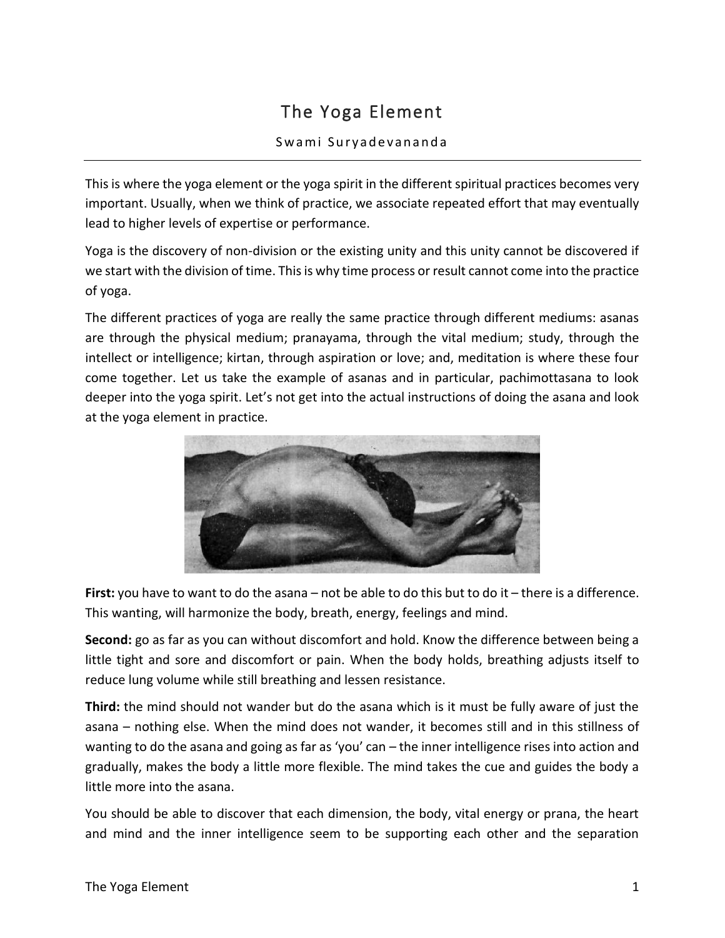## The Yoga Element

## Swami Suryadevananda

This is where the yoga element or the yoga spirit in the different spiritual practices becomes very important. Usually, when we think of practice, we associate repeated effort that may eventually lead to higher levels of expertise or performance.

Yoga is the discovery of non-division or the existing unity and this unity cannot be discovered if we start with the division of time. This is why time process or result cannot come into the practice of yoga.

The different practices of yoga are really the same practice through different mediums: asanas are through the physical medium; pranayama, through the vital medium; study, through the intellect or intelligence; kirtan, through aspiration or love; and, meditation is where these four come together. Let us take the example of asanas and in particular, pachimottasana to look deeper into the yoga spirit. Let's not get into the actual instructions of doing the asana and look at the yoga element in practice.



**First:** you have to want to do the asana – not be able to do this but to do it – there is a difference. This wanting, will harmonize the body, breath, energy, feelings and mind.

**Second:** go as far as you can without discomfort and hold. Know the difference between being a little tight and sore and discomfort or pain. When the body holds, breathing adjusts itself to reduce lung volume while still breathing and lessen resistance.

**Third:** the mind should not wander but do the asana which is it must be fully aware of just the asana – nothing else. When the mind does not wander, it becomes still and in this stillness of wanting to do the asana and going as far as 'you' can – the inner intelligence rises into action and gradually, makes the body a little more flexible. The mind takes the cue and guides the body a little more into the asana.

You should be able to discover that each dimension, the body, vital energy or prana, the heart and mind and the inner intelligence seem to be supporting each other and the separation